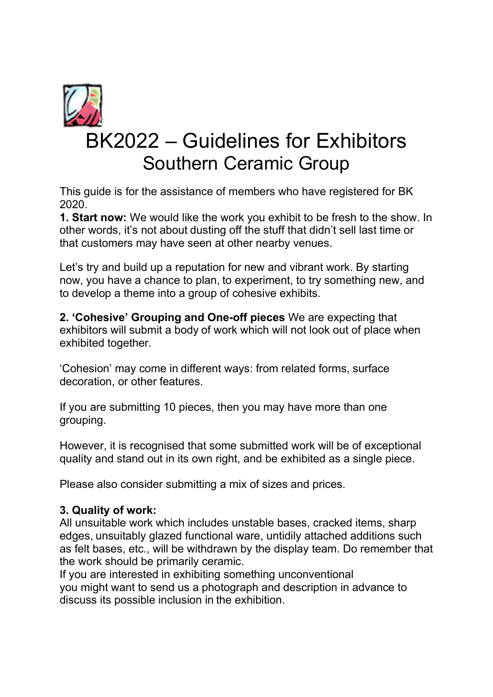

This guide is for the assistance of members who have registered for BK 2020.

1. Start now: We would like the work you exhibit to be fresh to the show. In other words, it's not about dusting off the stuff that didn't sell last time or that customers may have seen at other nearby venues.

Let's try and build up a reputation for new and vibrant work. By starting now, you have a chance to plan, to experiment, to try something new, and to develop a theme into a group of cohesive exhibits.

2. 'Cohesive' Grouping and One-off pieces We are expecting that exhibitors will submit a body of work which will not look out of place when exhibited together.

'Cohesion' may come in different ways: from related forms, surface decoration, or other features.

If you are submitting 10 pieces, then you may have more than one grouping.

However, it is recognised that some submitted work will be of exceptional quality and stand out in its own right, and be exhibited as a single piece.

Please also consider submitting a mix of sizes and prices.

## 3. Quality of work:

All unsuitable work which includes unstable bases, cracked items, sharp edges, unsuitably glazed functional ware, untidily attached additions such as felt bases, etc., will be withdrawn by the display team. Do remember that the work should be primarily ceramic.

If you are interested in exhibiting something unconventional you might want to send us a photograph and description in advance to discuss its possible inclusion in the exhibition.